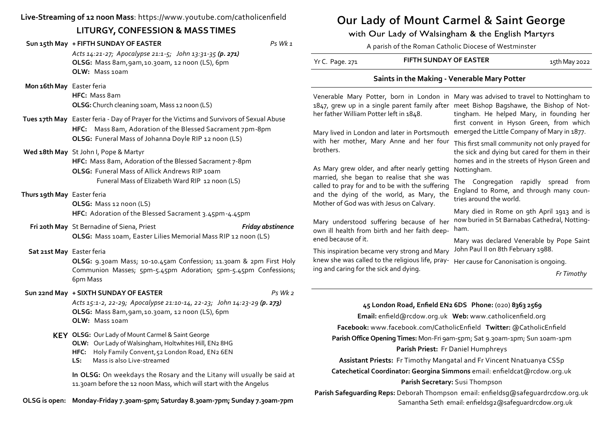## **Live-Streaming of 12 noon Mass**: https://www.youtube.com/catholicenfield

# **LITURGY, CONFESSION & MASS TIMES**

| LITURGY, CONFESSION & MASS TIMES |                                                                                                                                                                                                                                                                                                                                                                                                                                                                                                     |                   | with Our Lady of Walsingham & the English Martyrs                                                                                                                                                                                                                                                                                                                                                                                                                                                                               |                        |                                                                                                                                                                                                                                                                                             |  |
|----------------------------------|-----------------------------------------------------------------------------------------------------------------------------------------------------------------------------------------------------------------------------------------------------------------------------------------------------------------------------------------------------------------------------------------------------------------------------------------------------------------------------------------------------|-------------------|---------------------------------------------------------------------------------------------------------------------------------------------------------------------------------------------------------------------------------------------------------------------------------------------------------------------------------------------------------------------------------------------------------------------------------------------------------------------------------------------------------------------------------|------------------------|---------------------------------------------------------------------------------------------------------------------------------------------------------------------------------------------------------------------------------------------------------------------------------------------|--|
|                                  | Sun 15th May + FIFTH SUNDAY OF EASTER                                                                                                                                                                                                                                                                                                                                                                                                                                                               | Ps Wk 1           | A parish of the Roman Catholic Diocese of Westminster                                                                                                                                                                                                                                                                                                                                                                                                                                                                           |                        |                                                                                                                                                                                                                                                                                             |  |
|                                  | Acts 14:21-27; Apocalypse 21:1-5; John 13:31-35 (p. 271)<br>OLSG: Mass 8am, 9am, 10.30am, 12 noon (LS), 6pm<br>OLW: Mass 10am                                                                                                                                                                                                                                                                                                                                                                       |                   | Yr C. Page. 271                                                                                                                                                                                                                                                                                                                                                                                                                                                                                                                 | FIFTH SUNDAY OF EASTER | 15th May 2022                                                                                                                                                                                                                                                                               |  |
| Mon 16th May Easter feria        |                                                                                                                                                                                                                                                                                                                                                                                                                                                                                                     |                   | Saints in the Making - Venerable Mary Potter                                                                                                                                                                                                                                                                                                                                                                                                                                                                                    |                        |                                                                                                                                                                                                                                                                                             |  |
|                                  | HFC: Mass 8am<br>OLSG: Church cleaning 10am, Mass 12 noon (LS)                                                                                                                                                                                                                                                                                                                                                                                                                                      |                   |                                                                                                                                                                                                                                                                                                                                                                                                                                                                                                                                 |                        | Venerable Mary Potter, born in London in Mary was advised to travel to Nottingham to<br>1847, grew up in a single parent family after meet Bishop Bagshawe, the Bishop of Not-                                                                                                              |  |
|                                  | Tues 17th May Easter feria - Day of Prayer for the Victims and Survivors of Sexual Abuse<br>HFC: Mass 8am, Adoration of the Blessed Sacrament 7pm-8pm                                                                                                                                                                                                                                                                                                                                               |                   | her father William Potter left in 1848.<br>Mary lived in London and later in Portsmouth emerged the Little Company of Mary in 1877.<br>with her mother, Mary Anne and her four<br>brothers.<br>As Mary grew older, and after nearly getting Nottingham.                                                                                                                                                                                                                                                                         |                        | tingham. He helped Mary, in founding her<br>first convent in Hyson Green, from which                                                                                                                                                                                                        |  |
|                                  | OLSG: Funeral Mass of Johanna Doyle RIP 12 noon (LS)<br>Wed 18th May St John I, Pope & Martyr<br>HFC: Mass 8am, Adoration of the Blessed Sacrament 7-8pm<br>OLSG: Funeral Mass of Allick Andrews RIP 10am                                                                                                                                                                                                                                                                                           |                   |                                                                                                                                                                                                                                                                                                                                                                                                                                                                                                                                 |                        | This first small community not only prayed for<br>the sick and dying but cared for them in their<br>homes and in the streets of Hyson Green and                                                                                                                                             |  |
| Thurs 19th May Easter feria      | Funeral Mass of Elizabeth Ward RIP 12 noon (LS)<br>OLSG: Mass 12 noon (LS)                                                                                                                                                                                                                                                                                                                                                                                                                          |                   | married, she began to realise that she was<br>called to pray for and to be with the suffering<br>and the dying of the world, as Mary, the<br>Mother of God was with Jesus on Calvary.                                                                                                                                                                                                                                                                                                                                           |                        | The Congregation rapidly spread from<br>England to Rome, and through many coun-<br>tries around the world.                                                                                                                                                                                  |  |
|                                  | HFC: Adoration of the Blessed Sacrament 3.45pm-4.45pm<br>Fri 20th May St Bernadine of Siena, Priest<br>OLSG: Mass 10am, Easter Lilies Memorial Mass RIP 12 noon (LS)                                                                                                                                                                                                                                                                                                                                | Friday abstinence | Mary understood suffering because of her<br>own ill health from birth and her faith deep-<br>ened because of it.                                                                                                                                                                                                                                                                                                                                                                                                                |                        | Mary died in Rome on 9th April 1913 and is<br>now buried in St Barnabas Cathedral, Notting-<br>ham.<br>Mary was declared Venerable by Pope Saint<br>This inspiration became very strong and Mary John Paul II on 8th February 1988.<br>Her cause for Canonisation is ongoing.<br>Fr Timothy |  |
| Sat 21st May Easter feria        | OLSG: 9.30am Mass; 10-10.45am Confession; 11.30am & 2pm First Holy<br>Communion Masses; 5pm-5.45pm Adoration; 5pm-5.45pm Confessions;<br>6pm Mass                                                                                                                                                                                                                                                                                                                                                   |                   | knew she was called to the religious life, pray-<br>ing and caring for the sick and dying.                                                                                                                                                                                                                                                                                                                                                                                                                                      |                        |                                                                                                                                                                                                                                                                                             |  |
|                                  | Sun 22nd May + SIXTH SUNDAY OF EASTER                                                                                                                                                                                                                                                                                                                                                                                                                                                               | $Ps$ Wk $2$       |                                                                                                                                                                                                                                                                                                                                                                                                                                                                                                                                 |                        |                                                                                                                                                                                                                                                                                             |  |
|                                  | Acts 15:1-2, 22-29; Apocalypse 21:10-14, 22-23; John 14:23-29 (p. 273)<br>OLSG: Mass 8am, 9am, 10.30am, 12 noon (LS), 6pm<br>OLW: Mass 10am<br>KEY OLSG: Our Lady of Mount Carmel & Saint George<br>OLW: Our Lady of Walsingham, Holtwhites Hill, EN2 8HG<br>HFC: Holy Family Convent, 52 London Road, EN2 6EN<br>Mass is also Live-streamed<br>LS:<br>In OLSG: On weekdays the Rosary and the Litany will usually be said at<br>11.30am before the 12 noon Mass, which will start with the Angelus |                   | 45 London Road, Enfield EN2 6DS Phone: (020) 8363 2569<br>Facebook: www.facebook.com/CatholicEnfield Twitter: @CatholicEnfield<br>Parish Office Opening Times: Mon-Fri 9am-5pm; Sat 9.30am-1pm; Sun 10am-1pm<br>Parish Priest: Fr Daniel Humphreys<br>Assistant Priests: Fr Timothy Mangatal and Fr Vincent Nnatuanya CSSp<br>Catechetical Coordinator: Georgina Simmons email: enfieldcat@rcdow.org.uk<br>Parish Secretary: Susi Thompson<br>Parish Safeguarding Reps: Deborah Thompson email: enfieldsg@safeguardrcdow.org.uk |                        |                                                                                                                                                                                                                                                                                             |  |
|                                  |                                                                                                                                                                                                                                                                                                                                                                                                                                                                                                     |                   |                                                                                                                                                                                                                                                                                                                                                                                                                                                                                                                                 |                        |                                                                                                                                                                                                                                                                                             |  |
|                                  |                                                                                                                                                                                                                                                                                                                                                                                                                                                                                                     |                   |                                                                                                                                                                                                                                                                                                                                                                                                                                                                                                                                 |                        |                                                                                                                                                                                                                                                                                             |  |
|                                  |                                                                                                                                                                                                                                                                                                                                                                                                                                                                                                     |                   |                                                                                                                                                                                                                                                                                                                                                                                                                                                                                                                                 |                        |                                                                                                                                                                                                                                                                                             |  |

**Our Lady of Mount Carmel & Saint George**

Samantha Seth email: enfieldsg2@safeguardrcdow.org.uk

**OLSG is open: Monday-Friday 7.30am-5pm; Saturday 8.30am-7pm; Sunday 7.30am-7pm**